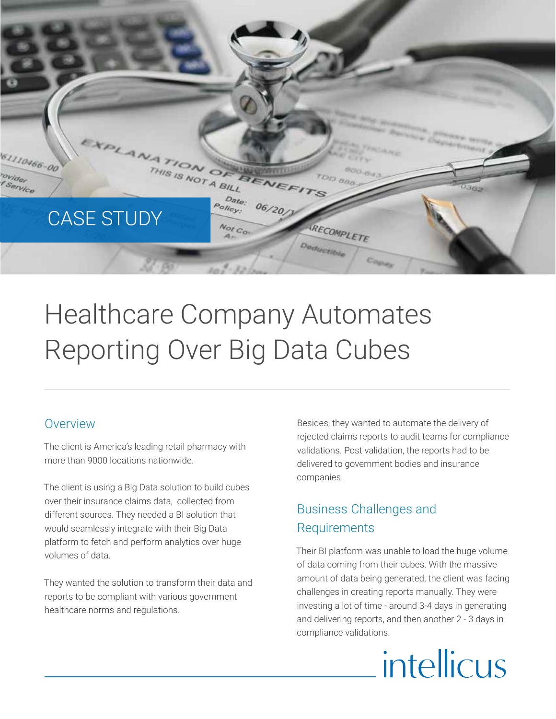

# Healthcare Company Automates Reporting Over Big Data Cubes

### Overview

The client is America's leading retail pharmacy with more than 9000 locations nationwide.

The client is using a Big Data solution to build cubes over their insurance claims data, collected from different sources. They needed a BI solution that would seamlessly integrate with their Big Data platform to fetch and perform analytics over huge volumes of data.

They wanted the solution to transform their data and reports to be compliant with various government healthcare norms and regulations.

Besides, they wanted to automate the delivery of rejected claims reports to audit teams for compliance validations. Post validation, the reports had to be delivered to government bodies and insurance companies.

# Business Challenges and Requirements

Their BI platform was unable to load the huge volume of data coming from their cubes. With the massive amount of data being generated, the client was facing challenges in creating reports manually. They were investing a lot of time - around 3-4 days in generating and delivering reports, and then another 2 - 3 days in compliance validations.